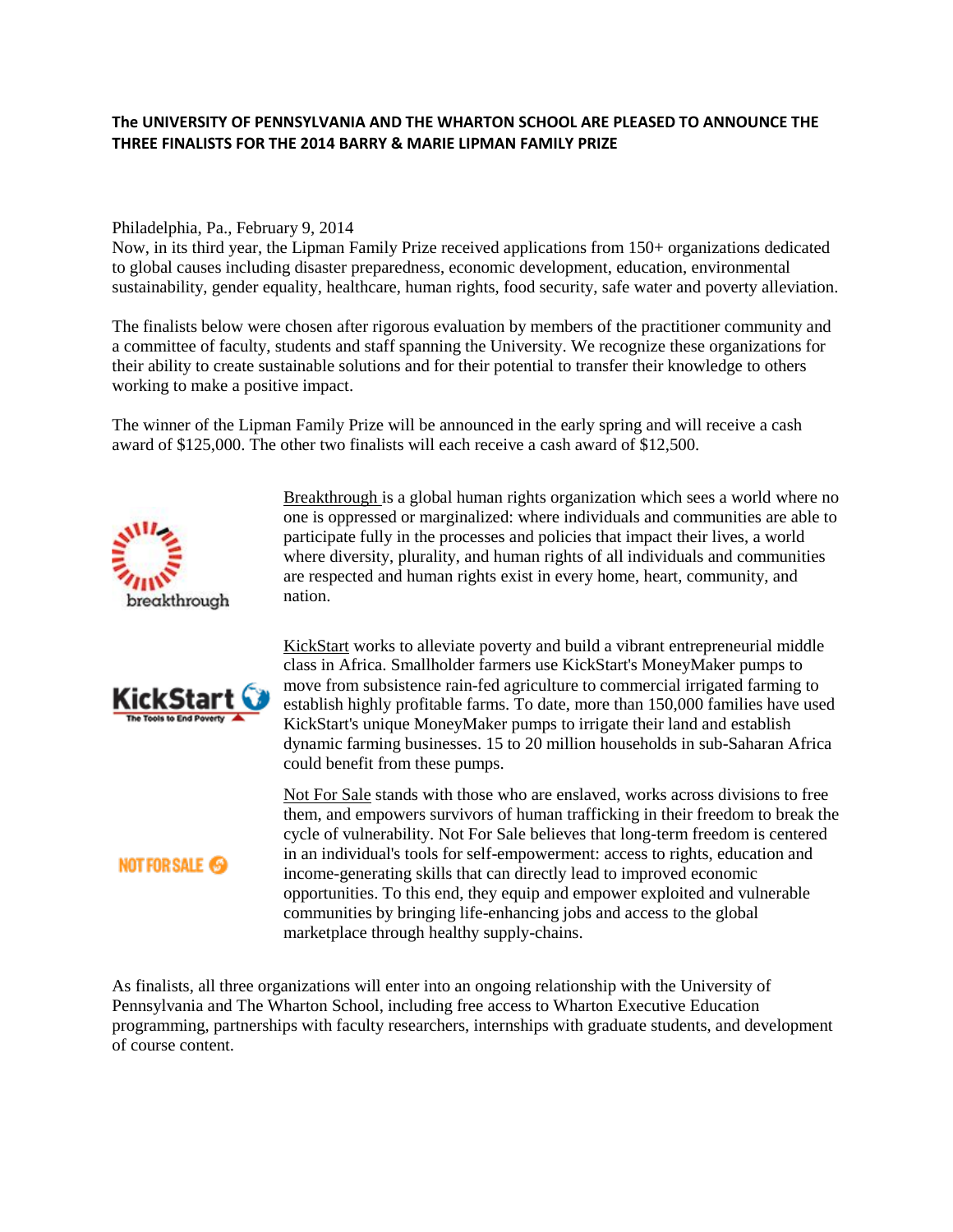## **The UNIVERSITY OF PENNSYLVANIA AND THE WHARTON SCHOOL ARE PLEASED TO ANNOUNCE THE THREE FINALISTS FOR THE 2014 BARRY & MARIE LIPMAN FAMILY PRIZE**

## Philadelphia, Pa., February 9, 2014

Now, in its third year, the Lipman Family Prize received applications from 150+ organizations dedicated to global causes including disaster preparedness, economic development, education, environmental sustainability, gender equality, healthcare, human rights, food security, safe water and poverty alleviation.

The finalists below were chosen after rigorous evaluation by members of the practitioner community and a committee of faculty, students and staff spanning the University. We recognize these organizations for their ability to create sustainable solutions and for their potential to transfer their knowledge to others working to make a positive impact.

The winner of the Lipman Family Prize will be announced in the early spring and will receive a cash award of \$125,000. The other two finalists will each receive a cash award of \$12,500.



KickStart ( Tools to End Poverty

**NOT FOR SALE @** 

participate fully in the processes and policies that impact their lives, a world where diversity, plurality, and human rights of all individuals and communities are respected and human rights exist in every home, heart, community, and nation.

[Breakthrough i](https://www.breakthrough.tv/)s a global human rights organization which sees a world where no one is oppressed or marginalized: where individuals and communities are able to

[KickStart](http://www.kickstart.org/) works to alleviate poverty and build a vibrant entrepreneurial middle class in Africa. Smallholder farmers use KickStart's MoneyMaker pumps to move from subsistence rain-fed agriculture to commercial irrigated farming to establish highly profitable farms. To date, more than 150,000 families have used KickStart's unique MoneyMaker pumps to irrigate their land and establish dynamic farming businesses. 15 to 20 million households in sub-Saharan Africa could benefit from these pumps.

[Not For Sale](http://www.notforsalecampaign.org/) stands with those who are enslaved, works across divisions to free them, and empowers survivors of human trafficking in their freedom to break the cycle of vulnerability. Not For Sale believes that long-term freedom is centered in an individual's tools for self-empowerment: access to rights, education and income-generating skills that can directly lead to improved economic opportunities. To this end, they equip and empower exploited and vulnerable communities by bringing life-enhancing jobs and access to the global marketplace through healthy supply-chains.

As finalists, all three organizations will enter into an ongoing relationship with the University of Pennsylvania and The Wharton School, including free access to Wharton Executive Education programming, partnerships with faculty researchers, internships with graduate students, and development of course content.